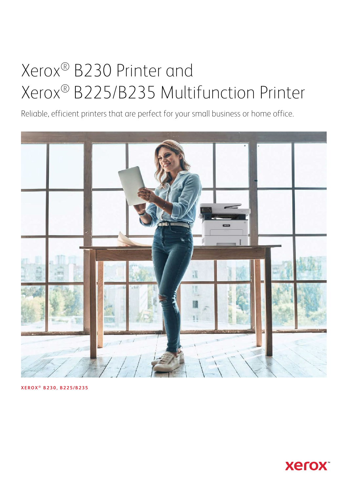# Xerox® B230 Printer and Xerox® B225/B235 Multifunction Printer

Reliable, efficient printers that are perfect for your small business or home office.



**XEROX ® B230, B225/B235**

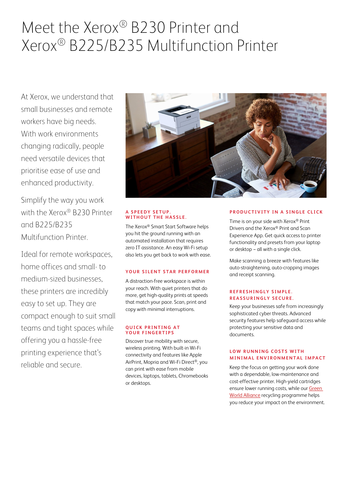## Meet the Xerox® B230 Printer and Xerox® B225/B235 Multifunction Printer

At Xerox, we understand that small businesses and remote workers have big needs. With work environments changing radically, people need versatile devices that prioritise ease of use and enhanced productivity.

Simplify the way you work with the Xerox® B230 Printer and B225/B235 Multifunction Printer.

Ideal for remote workspaces, home offices and small- to medium-sized businesses, these printers are incredibly easy to set up. They are compact enough to suit small teams and tight spaces while offering you a hassle-free printing experience that's reliable and secure.



#### **A SPEEDY SETUP. WITHOUT THE HASSLE.**

The Xerox® Smart Start Software helps you hit the ground running with an automated installation that requires zero IT assistance. An easy Wi-Fi setup also lets you get back to work with ease.

#### **YOUR SILENT STAR PERFORMER**

A distraction-free workspace is within your reach. With quiet printers that do more, get high-quality prints at speeds that match your pace. Scan, print and copy with minimal interruptions.

#### **QUICK PRINTING AT YOUR FINGERTIPS**

Discover true mobility with secure, wireless printing. With built-in Wi-Fi connectivity and features like Apple AirPrint, Mopria and Wi-Fi Direct®, you can print with ease from mobile devices, laptops, tablets, Chromebooks or desktops.

#### **PRODUCTIVITY IN A SINGLE CLICK**

Time is on your side with Xerox® Print Drivers and the Xerox® Print and Scan Experience App. Get quick access to printer functionality and presets from your laptop or desktop  $-$  all with a single click.

Make scanning a breeze with features like auto-straightening, auto-cropping images and receipt scanning.

#### **REFRESHINGLY SIMPLE. REASSURINGLY SECURE.**

Keep your businesses safe from increasingly sophisticated cyber threats. Advanced security features help safeguard access while protecting your sensitive data and documents.

#### **LOW RUNNING COSTS WITH MINIMAL ENVIRONMENTAL IMPACT**

Keep the focus on getting your work done with a dependable, low-maintenance and cost-effective printer. High-yield cartridges ensure lower running costs, while our [Green](http://xerox.co.uk/gwa)  [World Alliance](http://xerox.co.uk/gwa) recycling programme helps you reduce your impact on the environment.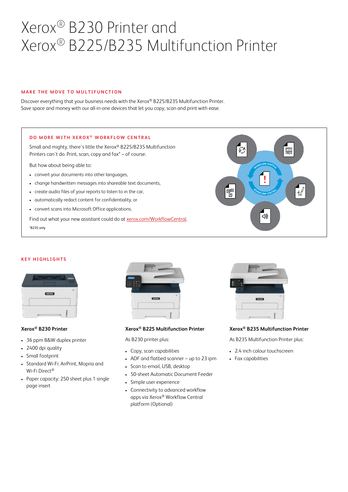## Xerox® B230 Printer and Xerox® B225/B235 Multifunction Printer

#### **MAKE THE MOVE TO MULTIFUNCTION**

Discover everything that your business needs with the Xerox® B225/B235 Multifunction Printer. Save space and money with our all-in-one devices that let you copy, scan and print with ease.

#### **DO MORE WITH XEROX<sup>®</sup> WORKFLOW CENTRAL**

Small and mighty, there's little the Xerox® B225/B235 Multifunction Printers can't do. Print, scan, copy and fax\* - of course.

But how about being able to:

- convert your documents into other languages,
- change handwritten messages into shareable text documents,
- create audio files of your reports to listen to in the car,
- automatically redact content for confidentiality, or
- convert scans into Microsoft Office applications.

Find out what your new assistant could do a[t xerox.com/WorkflowCentral.](https://www.xerox.co.uk/en-gb/office/software-solutions/xerox-workflow-central) \*B235 only



#### **KEY HIGHLIGHTS**

| <b>Semical</b><br><b>September</b> | <b>Call Corporation</b><br><b>COLOR</b><br>--- |
|------------------------------------|------------------------------------------------|
| xer                                | $\upsilon$                                     |
| 532.533                            |                                                |
|                                    | ۰                                              |

#### **Xerox® B230 Printer**

- 36 ppm B&W duplex printer
- 2400 dpi quality
- Small footprint
- Standard Wi-Fi: AirPrint, Mopria and Wi-Fi Direct®
- Paper capacity: 250 sheet plus 1 single page insert



#### **Xerox® B225 Multifunction Printer**

As B230 printer plus:

- Copy, scan capabilities
- ADF and flatbed scanner -- up to 23 ipm
- Scan to email, USB, desktop
- 50-sheet Automatic Document Feeder
- Simple user experience
- Connectivity to advanced workflow apps via Xerox® Workflow Central platform (Optional)



#### **Xerox® B235 Multifunction Printer**

As B235 Multifunction Printer plus:

- 2.4 inch colour touchscreen
- Fax capabilities